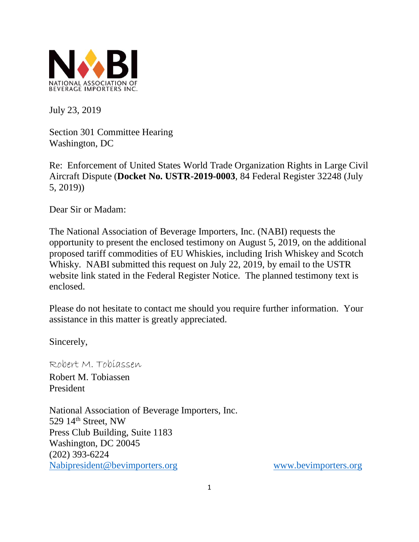

July 23, 2019

Section 301 Committee Hearing Washington, DC

Re: Enforcement of United States World Trade Organization Rights in Large Civil Aircraft Dispute (**Docket No. USTR-2019-0003**, 84 Federal Register 32248 (July 5, 2019))

Dear Sir or Madam:

The National Association of Beverage Importers, Inc. (NABI) requests the opportunity to present the enclosed testimony on August 5, 2019, on the additional proposed tariff commodities of EU Whiskies, including Irish Whiskey and Scotch Whisky. NABI submitted this request on July 22, 2019, by email to the USTR website link stated in the Federal Register Notice. The planned testimony text is enclosed.

Please do not hesitate to contact me should you require further information. Your assistance in this matter is greatly appreciated.

Sincerely,

Robert M. Tobiassen

Robert M. Tobiassen President

National Association of Beverage Importers, Inc. 529 14<sup>th</sup> Street, NW Press Club Building, Suite 1183 Washington, DC 20045 (202) 393-6224 [Nabipresident@bevimporters.org](mailto:Nabipresident@bevimporters.org) [www.bevimporters.org](http://www.bevimporters.org/)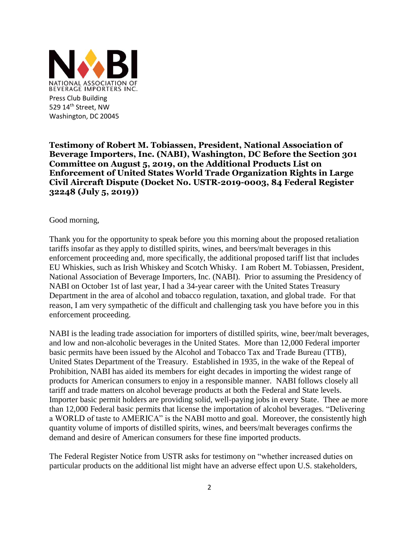

**Testimony of Robert M. Tobiassen, President, National Association of Beverage Importers, Inc. (NABI), Washington, DC Before the Section 301 Committee on August 5, 2019, on the Additional Products List on Enforcement of United States World Trade Organization Rights in Large Civil Aircraft Dispute (Docket No. USTR-2019-0003, 84 Federal Register 32248 (July 5, 2019))** 

Good morning,

Thank you for the opportunity to speak before you this morning about the proposed retaliation tariffs insofar as they apply to distilled spirits, wines, and beers/malt beverages in this enforcement proceeding and, more specifically, the additional proposed tariff list that includes EU Whiskies, such as Irish Whiskey and Scotch Whisky. I am Robert M. Tobiassen, President, National Association of Beverage Importers, Inc. (NABI). Prior to assuming the Presidency of NABI on October 1st of last year, I had a 34-year career with the United States Treasury Department in the area of alcohol and tobacco regulation, taxation, and global trade. For that reason, I am very sympathetic of the difficult and challenging task you have before you in this enforcement proceeding.

NABI is the leading trade association for importers of distilled spirits, wine, beer/malt beverages, and low and non-alcoholic beverages in the United States. More than 12,000 Federal importer basic permits have been issued by the Alcohol and Tobacco Tax and Trade Bureau (TTB), United States Department of the Treasury. Established in 1935, in the wake of the Repeal of Prohibition, NABI has aided its members for eight decades in importing the widest range of products for American consumers to enjoy in a responsible manner. NABI follows closely all tariff and trade matters on alcohol beverage products at both the Federal and State levels. Importer basic permit holders are providing solid, well-paying jobs in every State. Thee ae more than 12,000 Federal basic permits that license the importation of alcohol beverages. "Delivering a WORLD of taste to AMERICA" is the NABI motto and goal. Moreover, the consistently high quantity volume of imports of distilled spirits, wines, and beers/malt beverages confirms the demand and desire of American consumers for these fine imported products.

The Federal Register Notice from USTR asks for testimony on "whether increased duties on particular products on the additional list might have an adverse effect upon U.S. stakeholders,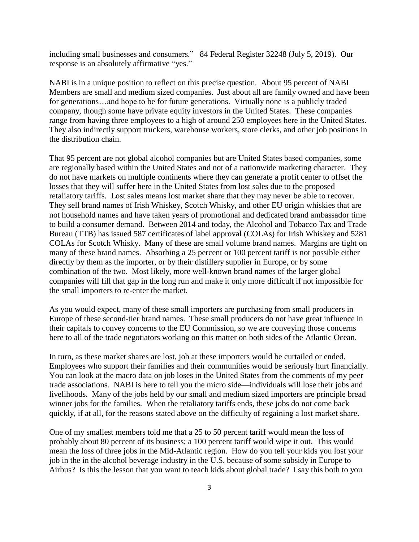including small businesses and consumers." 84 Federal Register 32248 (July 5, 2019). Our response is an absolutely affirmative "yes."

NABI is in a unique position to reflect on this precise question. About 95 percent of NABI Members are small and medium sized companies. Just about all are family owned and have been for generations…and hope to be for future generations. Virtually none is a publicly traded company, though some have private equity investors in the United States. These companies range from having three employees to a high of around 250 employees here in the United States. They also indirectly support truckers, warehouse workers, store clerks, and other job positions in the distribution chain.

That 95 percent are not global alcohol companies but are United States based companies, some are regionally based within the United States and not of a nationwide marketing character. They do not have markets on multiple continents where they can generate a profit center to offset the losses that they will suffer here in the United States from lost sales due to the proposed retaliatory tariffs. Lost sales means lost market share that they may never be able to recover. They sell brand names of Irish Whiskey, Scotch Whisky, and other EU origin whiskies that are not household names and have taken years of promotional and dedicated brand ambassador time to build a consumer demand. Between 2014 and today, the Alcohol and Tobacco Tax and Trade Bureau (TTB) has issued 587 certificates of label approval (COLAs) for Irish Whiskey and 5281 COLAs for Scotch Whisky. Many of these are small volume brand names. Margins are tight on many of these brand names. Absorbing a 25 percent or 100 percent tariff is not possible either directly by them as the importer, or by their distillery supplier in Europe, or by some combination of the two. Most likely, more well-known brand names of the larger global companies will fill that gap in the long run and make it only more difficult if not impossible for the small importers to re-enter the market.

As you would expect, many of these small importers are purchasing from small producers in Europe of these second-tier brand names. These small producers do not have great influence in their capitals to convey concerns to the EU Commission, so we are conveying those concerns here to all of the trade negotiators working on this matter on both sides of the Atlantic Ocean.

In turn, as these market shares are lost, job at these importers would be curtailed or ended. Employees who support their families and their communities would be seriously hurt financially. You can look at the macro data on job loses in the United States from the comments of my peer trade associations. NABI is here to tell you the micro side—individuals will lose their jobs and livelihoods. Many of the jobs held by our small and medium sized importers are principle bread winner jobs for the families. When the retaliatory tariffs ends, these jobs do not come back quickly, if at all, for the reasons stated above on the difficulty of regaining a lost market share.

One of my smallest members told me that a 25 to 50 percent tariff would mean the loss of probably about 80 percent of its business; a 100 percent tariff would wipe it out. This would mean the loss of three jobs in the Mid-Atlantic region. How do you tell your kids you lost your job in the in the alcohol beverage industry in the U.S. because of some subsidy in Europe to Airbus? Is this the lesson that you want to teach kids about global trade? I say this both to you